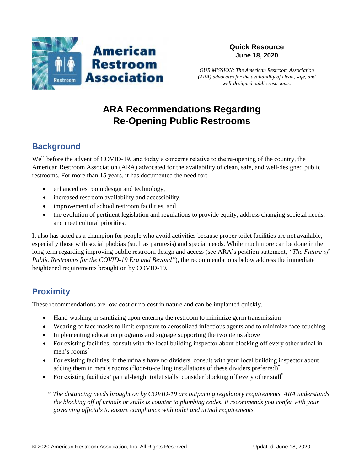

*OUR MISSION: The American Restroom Association (ARA) advocates for the availability of clean, safe, and well-designed public restrooms.*

# **ARA Recommendations Regarding Re-Opening Public Restrooms**

# **Background**

Well before the advent of COVID-19, and today's concerns relative to the re-opening of the country, the American Restroom Association (ARA) advocated for the availability of clean, safe, and well-designed public restrooms. For more than 15 years, it has documented the need for:

- enhanced restroom design and technology,
- increased restroom availability and accessibility,
- improvement of school restroom facilities, and
- the evolution of pertinent legislation and regulations to provide equity, address changing societal needs, and meet cultural priorities.

It also has acted as a champion for people who avoid activities because proper toilet facilities are not available, especially those with social phobias (such as paruresis) and special needs. While much more can be done in the long term regarding improving public restroom design and access (see ARA's position statement, *"The Future of Public Restrooms for the COVID-19 Era and Beyond"*), the recommendations below address the immediate heightened requirements brought on by COVID-19.

## **Proximity**

These recommendations are low-cost or no-cost in nature and can be implanted quickly.

- Hand-washing or sanitizing upon entering the restroom to minimize germ transmission
- Wearing of face masks to limit exposure to aerosolized infectious agents and to minimize face-touching
- Implementing education programs and signage supporting the two items above
- For existing facilities, consult with the local building inspector about blocking off every other urinal in men's rooms**\***
- For existing facilities, if the urinals have no dividers, consult with your local building inspector about adding them in men's rooms (floor-to-ceiling installations of these dividers preferred) **\***
- For existing facilities' partial-height toilet stalls, consider blocking off every other stall**\***
	- \* *The distancing needs brought on by COVID-19 are outpacing regulatory requirements. ARA understands the blocking off of urinals or stalls is counter to plumbing codes. It recommends you confer with your governing officials to ensure compliance with toilet and urinal requirements.*